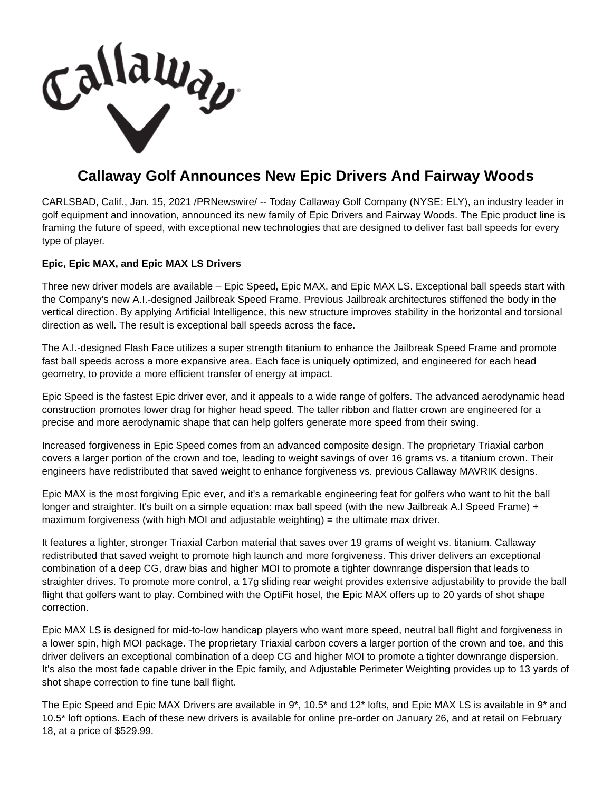Callaway

## **Callaway Golf Announces New Epic Drivers And Fairway Woods**

CARLSBAD, Calif., Jan. 15, 2021 /PRNewswire/ -- Today Callaway Golf Company (NYSE: ELY), an industry leader in golf equipment and innovation, announced its new family of Epic Drivers and Fairway Woods. The Epic product line is framing the future of speed, with exceptional new technologies that are designed to deliver fast ball speeds for every type of player.

## **Epic, Epic MAX, and Epic MAX LS Drivers**

Three new driver models are available – Epic Speed, Epic MAX, and Epic MAX LS. Exceptional ball speeds start with the Company's new A.I.-designed Jailbreak Speed Frame. Previous Jailbreak architectures stiffened the body in the vertical direction. By applying Artificial Intelligence, this new structure improves stability in the horizontal and torsional direction as well. The result is exceptional ball speeds across the face.

The A.I.-designed Flash Face utilizes a super strength titanium to enhance the Jailbreak Speed Frame and promote fast ball speeds across a more expansive area. Each face is uniquely optimized, and engineered for each head geometry, to provide a more efficient transfer of energy at impact.

Epic Speed is the fastest Epic driver ever, and it appeals to a wide range of golfers. The advanced aerodynamic head construction promotes lower drag for higher head speed. The taller ribbon and flatter crown are engineered for a precise and more aerodynamic shape that can help golfers generate more speed from their swing.

Increased forgiveness in Epic Speed comes from an advanced composite design. The proprietary Triaxial carbon covers a larger portion of the crown and toe, leading to weight savings of over 16 grams vs. a titanium crown. Their engineers have redistributed that saved weight to enhance forgiveness vs. previous Callaway MAVRIK designs.

Epic MAX is the most forgiving Epic ever, and it's a remarkable engineering feat for golfers who want to hit the ball longer and straighter. It's built on a simple equation: max ball speed (with the new Jailbreak A.I Speed Frame) + maximum forgiveness (with high MOI and adjustable weighting)  $=$  the ultimate max driver.

It features a lighter, stronger Triaxial Carbon material that saves over 19 grams of weight vs. titanium. Callaway redistributed that saved weight to promote high launch and more forgiveness. This driver delivers an exceptional combination of a deep CG, draw bias and higher MOI to promote a tighter downrange dispersion that leads to straighter drives. To promote more control, a 17g sliding rear weight provides extensive adjustability to provide the ball flight that golfers want to play. Combined with the OptiFit hosel, the Epic MAX offers up to 20 yards of shot shape correction.

Epic MAX LS is designed for mid-to-low handicap players who want more speed, neutral ball flight and forgiveness in a lower spin, high MOI package. The proprietary Triaxial carbon covers a larger portion of the crown and toe, and this driver delivers an exceptional combination of a deep CG and higher MOI to promote a tighter downrange dispersion. It's also the most fade capable driver in the Epic family, and Adjustable Perimeter Weighting provides up to 13 yards of shot shape correction to fine tune ball flight.

The Epic Speed and Epic MAX Drivers are available in 9\*, 10.5\* and 12\* lofts, and Epic MAX LS is available in 9\* and 10.5\* loft options. Each of these new drivers is available for online pre-order on January 26, and at retail on February 18, at a price of \$529.99.